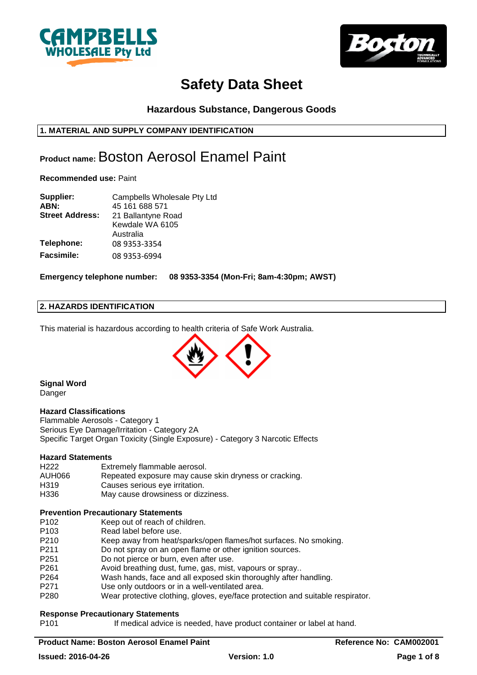



# **Hazardous Substance, Dangerous Goods**

# **1. MATERIAL AND SUPPLY COMPANY IDENTIFICATION**

# **Product name:** Boston Aerosol Enamel Paint

**Recommended use:** Paint

| Supplier:              | Campbells Wholesale Pty Ltd |
|------------------------|-----------------------------|
| ABN:                   | 45 161 688 571              |
| <b>Street Address:</b> | 21 Ballantyne Road          |
|                        | Kewdale WA 6105             |
|                        | Australia                   |
| Telephone:             | 08 9353-3354                |
| <b>Facsimile:</b>      | 08 9353-6994                |

**Emergency telephone number: 08 9353-3354 (Mon-Fri; 8am-4:30pm; AWST)**

# **2. HAZARDS IDENTIFICATION**

This material is hazardous according to health criteria of Safe Work Australia.



**Signal Word Danger** 

#### **Hazard Classifications**

Flammable Aerosols - Category 1 Serious Eye Damage/Irritation - Category 2A Specific Target Organ Toxicity (Single Exposure) - Category 3 Narcotic Effects

# **Hazard Statements**

| H <sub>222</sub> | Extremely flammable aerosol.                          |
|------------------|-------------------------------------------------------|
| AUH066           | Repeated exposure may cause skin dryness or cracking. |
| H319             | Causes serious eye irritation.                        |
| H336             | May cause drowsiness or dizziness.                    |

#### **Prevention Precautionary Statements**

| P <sub>103</sub><br>Read label before use.<br>P <sub>210</sub><br>Keep away from heat/sparks/open flames/hot surfaces. No smoking.<br>P <sub>2</sub> 11<br>Do not spray on an open flame or other ignition sources.<br>Do not pierce or burn, even after use.<br>P <sub>251</sub><br>Avoid breathing dust, fume, gas, mist, vapours or spray<br>P <sub>261</sub><br>Wash hands, face and all exposed skin thoroughly after handling.<br>P <sub>264</sub><br>Use only outdoors or in a well-ventilated area.<br>P <sub>271</sub><br>P280 | P <sub>102</sub> | Keep out of reach of children.                                                 |
|-----------------------------------------------------------------------------------------------------------------------------------------------------------------------------------------------------------------------------------------------------------------------------------------------------------------------------------------------------------------------------------------------------------------------------------------------------------------------------------------------------------------------------------------|------------------|--------------------------------------------------------------------------------|
|                                                                                                                                                                                                                                                                                                                                                                                                                                                                                                                                         |                  |                                                                                |
|                                                                                                                                                                                                                                                                                                                                                                                                                                                                                                                                         |                  |                                                                                |
|                                                                                                                                                                                                                                                                                                                                                                                                                                                                                                                                         |                  |                                                                                |
|                                                                                                                                                                                                                                                                                                                                                                                                                                                                                                                                         |                  |                                                                                |
|                                                                                                                                                                                                                                                                                                                                                                                                                                                                                                                                         |                  |                                                                                |
|                                                                                                                                                                                                                                                                                                                                                                                                                                                                                                                                         |                  |                                                                                |
|                                                                                                                                                                                                                                                                                                                                                                                                                                                                                                                                         |                  |                                                                                |
|                                                                                                                                                                                                                                                                                                                                                                                                                                                                                                                                         |                  | Wear protective clothing, gloves, eye/face protection and suitable respirator. |

# **Response Precautionary Statements**

P101 If medical advice is needed, have product container or label at hand.

# **Product Name: Boston Aerosol Enamel Paint Reference No: CAM002001**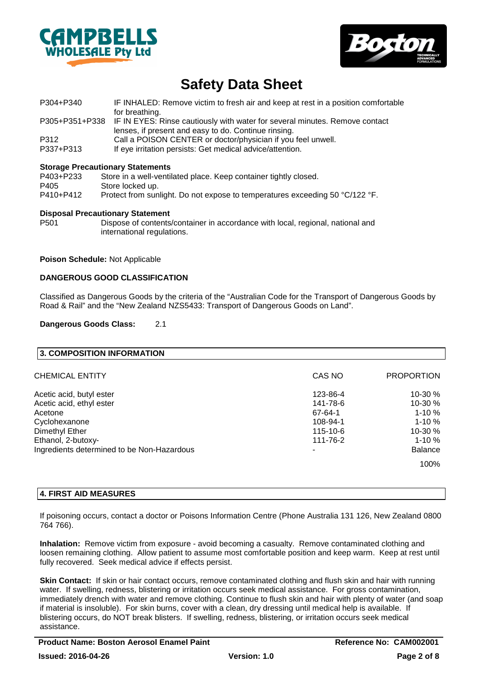



- P304+P340 IF INHALED: Remove victim to fresh air and keep at rest in a position comfortable for breathing. P305+P351+P338 IF IN EYES: Rinse cautiously with water for several minutes. Remove contact lenses, if present and easy to do. Continue rinsing. P312 Call a POISON CENTER or doctor/physician if you feel unwell.
- P337+P313 If eve irritation persists: Get medical advice/attention.

#### **Storage Precautionary Statements**

| Store in a well-ventilated place. Keep container tightly closed.             |
|------------------------------------------------------------------------------|
| Store locked up.                                                             |
| Protect from sunlight. Do not expose to temperatures exceeding 50 °C/122 °F. |
|                                                                              |

#### **Disposal Precautionary Statement**

P501 Dispose of contents/container in accordance with local, regional, national and international regulations.

#### **Poison Schedule:** Not Applicable

#### **DANGEROUS GOOD CLASSIFICATION**

Classified as Dangerous Goods by the criteria of the "Australian Code for the Transport of Dangerous Goods by Road & Rail" and the "New Zealand NZS5433: Transport of Dangerous Goods on Land".

#### **Dangerous Goods Class:** 2.1

| <b>3. COMPOSITION INFORMATION</b>          |          |                   |
|--------------------------------------------|----------|-------------------|
| <b>CHEMICAL ENTITY</b>                     | CAS NO   | <b>PROPORTION</b> |
| Acetic acid, butyl ester                   | 123-86-4 | $10-30%$          |
| Acetic acid, ethyl ester                   | 141-78-6 | $10-30%$          |
| Acetone                                    | 67-64-1  | $1 - 10%$         |
| Cyclohexanone                              | 108-94-1 | $1 - 10 \%$       |
| Dimethyl Ether                             | 115-10-6 | $10-30%$          |
| Ethanol, 2-butoxy-                         | 111-76-2 | $1 - 10 \%$       |
| Ingredients determined to be Non-Hazardous | ٠        | <b>Balance</b>    |
|                                            |          | 100%              |

# **4. FIRST AID MEASURES**

If poisoning occurs, contact a doctor or Poisons Information Centre (Phone Australia 131 126, New Zealand 0800 764 766).

**Inhalation:** Remove victim from exposure - avoid becoming a casualty. Remove contaminated clothing and loosen remaining clothing. Allow patient to assume most comfortable position and keep warm. Keep at rest until fully recovered. Seek medical advice if effects persist.

**Skin Contact:** If skin or hair contact occurs, remove contaminated clothing and flush skin and hair with running water. If swelling, redness, blistering or irritation occurs seek medical assistance. For gross contamination, immediately drench with water and remove clothing. Continue to flush skin and hair with plenty of water (and soap if material is insoluble). For skin burns, cover with a clean, dry dressing until medical help is available. If blistering occurs, do NOT break blisters. If swelling, redness, blistering, or irritation occurs seek medical assistance.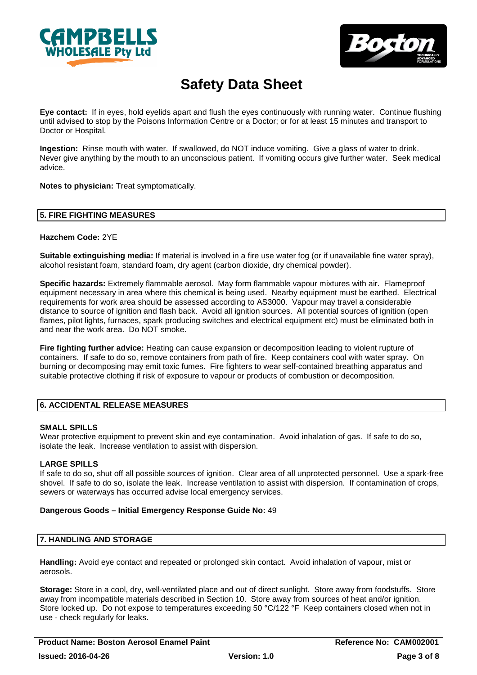



**Eye contact:** If in eyes, hold eyelids apart and flush the eyes continuously with running water. Continue flushing until advised to stop by the Poisons Information Centre or a Doctor; or for at least 15 minutes and transport to Doctor or Hospital.

**Ingestion:** Rinse mouth with water. If swallowed, do NOT induce vomiting. Give a glass of water to drink. Never give anything by the mouth to an unconscious patient. If vomiting occurs give further water. Seek medical advice.

**Notes to physician:** Treat symptomatically.

# **5. FIRE FIGHTING MEASURES**

#### **Hazchem Code:** 2YE

**Suitable extinguishing media:** If material is involved in a fire use water fog (or if unavailable fine water spray), alcohol resistant foam, standard foam, dry agent (carbon dioxide, dry chemical powder).

**Specific hazards:** Extremely flammable aerosol. May form flammable vapour mixtures with air. Flameproof equipment necessary in area where this chemical is being used. Nearby equipment must be earthed. Electrical requirements for work area should be assessed according to AS3000. Vapour may travel a considerable distance to source of ignition and flash back. Avoid all ignition sources. All potential sources of ignition (open flames, pilot lights, furnaces, spark producing switches and electrical equipment etc) must be eliminated both in and near the work area. Do NOT smoke.

**Fire fighting further advice:** Heating can cause expansion or decomposition leading to violent rupture of containers. If safe to do so, remove containers from path of fire. Keep containers cool with water spray. On burning or decomposing may emit toxic fumes. Fire fighters to wear self-contained breathing apparatus and suitable protective clothing if risk of exposure to vapour or products of combustion or decomposition.

# **6. ACCIDENTAL RELEASE MEASURES**

# **SMALL SPILLS**

Wear protective equipment to prevent skin and eve contamination. Avoid inhalation of gas. If safe to do so, isolate the leak. Increase ventilation to assist with dispersion.

# **LARGE SPILLS**

If safe to do so, shut off all possible sources of ignition. Clear area of all unprotected personnel. Use a spark-free shovel. If safe to do so, isolate the leak. Increase ventilation to assist with dispersion. If contamination of crops, sewers or waterways has occurred advise local emergency services.

#### **Dangerous Goods – Initial Emergency Response Guide No:** 49

# **7. HANDLING AND STORAGE**

**Handling:** Avoid eye contact and repeated or prolonged skin contact. Avoid inhalation of vapour, mist or aerosols.

**Storage:** Store in a cool, dry, well-ventilated place and out of direct sunlight. Store away from foodstuffs. Store away from incompatible materials described in Section 10. Store away from sources of heat and/or ignition. Store locked up. Do not expose to temperatures exceeding 50 °C/122 °F Keep containers closed when not in use - check regularly for leaks.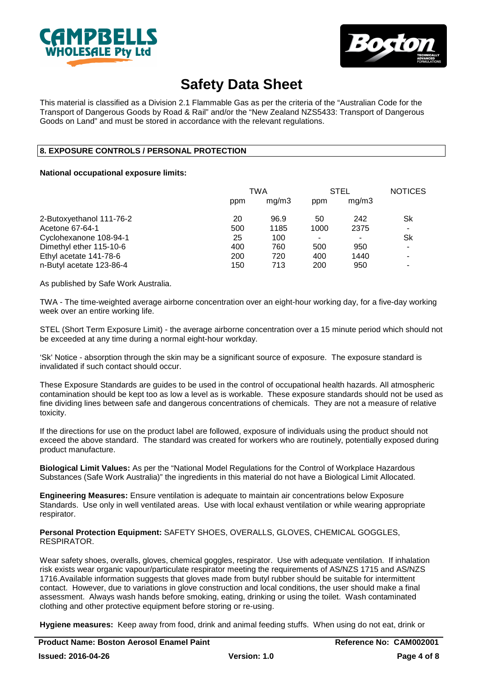



This material is classified as a Division 2.1 Flammable Gas as per the criteria of the "Australian Code for the Transport of Dangerous Goods by Road & Rail" and/or the "New Zealand NZS5433: Transport of Dangerous Goods on Land" and must be stored in accordance with the relevant regulations.

# **8. EXPOSURE CONTROLS / PERSONAL PROTECTION**

#### **National occupational exposure limits:**

|                          | TWA |       | <b>STEL</b> |       | <b>NOTICES</b> |
|--------------------------|-----|-------|-------------|-------|----------------|
|                          | ppm | mq/m3 | ppm         | mq/m3 |                |
| 2-Butoxyethanol 111-76-2 | 20  | 96.9  | 50          | 242   | Sk             |
| Acetone 67-64-1          | 500 | 1185  | 1000        | 2375  |                |
| Cyclohexanone 108-94-1   | 25  | 100   |             |       | Sk             |
| Dimethyl ether 115-10-6  | 400 | 760   | 500         | 950   |                |
| Ethyl acetate 141-78-6   | 200 | 720   | 400         | 1440  |                |
| n-Butyl acetate 123-86-4 | 150 | 713   | 200         | 950   |                |

As published by Safe Work Australia.

TWA - The time-weighted average airborne concentration over an eight-hour working day, for a five-day working week over an entire working life.

STEL (Short Term Exposure Limit) - the average airborne concentration over a 15 minute period which should not be exceeded at any time during a normal eight-hour workday.

'Sk' Notice - absorption through the skin may be a significant source of exposure. The exposure standard is invalidated if such contact should occur.

These Exposure Standards are guides to be used in the control of occupational health hazards. All atmospheric contamination should be kept too as low a level as is workable. These exposure standards should not be used as fine dividing lines between safe and dangerous concentrations of chemicals. They are not a measure of relative toxicity.

If the directions for use on the product label are followed, exposure of individuals using the product should not exceed the above standard. The standard was created for workers who are routinely, potentially exposed during product manufacture.

**Biological Limit Values:** As per the "National Model Regulations for the Control of Workplace Hazardous Substances (Safe Work Australia)" the ingredients in this material do not have a Biological Limit Allocated.

**Engineering Measures:** Ensure ventilation is adequate to maintain air concentrations below Exposure Standards. Use only in well ventilated areas. Use with local exhaust ventilation or while wearing appropriate respirator.

**Personal Protection Equipment:** SAFETY SHOES, OVERALLS, GLOVES, CHEMICAL GOGGLES, RESPIRATOR.

Wear safety shoes, overalls, gloves, chemical goggles, respirator. Use with adequate ventilation. If inhalation risk exists wear organic vapour/particulate respirator meeting the requirements of AS/NZS 1715 and AS/NZS 1716.Available information suggests that gloves made from butyl rubber should be suitable for intermittent contact. However, due to variations in glove construction and local conditions, the user should make a final assessment. Always wash hands before smoking, eating, drinking or using the toilet. Wash contaminated clothing and other protective equipment before storing or re-using.

**Hygiene measures:** Keep away from food, drink and animal feeding stuffs. When using do not eat, drink or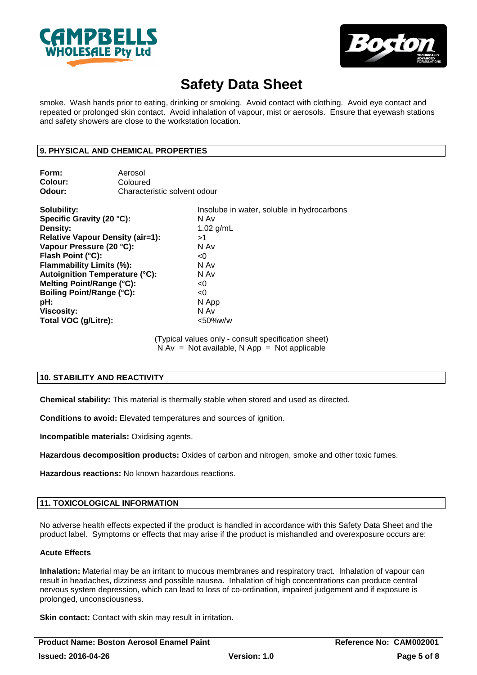



smoke. Wash hands prior to eating, drinking or smoking. Avoid contact with clothing. Avoid eye contact and repeated or prolonged skin contact. Avoid inhalation of vapour, mist or aerosols. Ensure that eyewash stations and safety showers are close to the workstation location.

### **9. PHYSICAL AND CHEMICAL PROPERTIES**

| Form:   | Aerosol                      |
|---------|------------------------------|
| Colour: | Coloured                     |
| Odour:  | Characteristic solvent odour |

| Solubility:<br>Specific Gravity (20 °C): | Insolube in water, soluble in hydrocarbons<br>N Av |
|------------------------------------------|----------------------------------------------------|
| Density:                                 | 1.02 $g/mL$                                        |
| <b>Relative Vapour Density (air=1):</b>  | >1                                                 |
| Vapour Pressure (20 °C):                 | N Av                                               |
| Flash Point (°C):                        | < 0                                                |
| <b>Flammability Limits (%):</b>          | N Av                                               |
| Autoignition Temperature (°C):           | N Av                                               |
| Melting Point/Range (°C):                | < 0                                                |
| Boiling Point/Range (°C):                | <0                                                 |
| pH:                                      | N App                                              |
| <b>Viscosity:</b>                        | N Av                                               |
| Total VOC (g/Litre):                     | $<$ 50%w/w                                         |

(Typical values only - consult specification sheet)  $N Av = Not available$ ,  $N App = Not applicable$ 

# **10. STABILITY AND REACTIVITY**

**Chemical stability:** This material is thermally stable when stored and used as directed.

**Conditions to avoid:** Elevated temperatures and sources of ignition.

**Incompatible materials:** Oxidising agents.

**Hazardous decomposition products:** Oxides of carbon and nitrogen, smoke and other toxic fumes.

**Hazardous reactions:** No known hazardous reactions.

# **11. TOXICOLOGICAL INFORMATION**

No adverse health effects expected if the product is handled in accordance with this Safety Data Sheet and the product label. Symptoms or effects that may arise if the product is mishandled and overexposure occurs are:

### **Acute Effects**

**Inhalation:** Material may be an irritant to mucous membranes and respiratory tract. Inhalation of vapour can result in headaches, dizziness and possible nausea. Inhalation of high concentrations can produce central nervous system depression, which can lead to loss of co-ordination, impaired judgement and if exposure is prolonged, unconsciousness.

**Skin contact:** Contact with skin may result in irritation.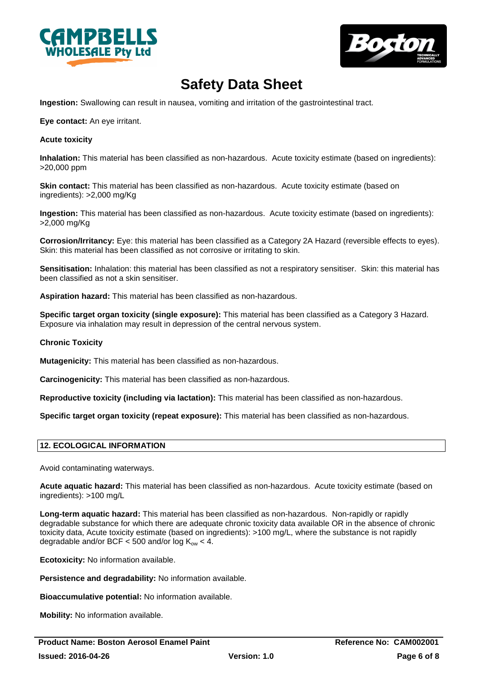



**Ingestion:** Swallowing can result in nausea, vomiting and irritation of the gastrointestinal tract.

**Eye contact:** An eye irritant.

#### **Acute toxicity**

**Inhalation:** This material has been classified as non-hazardous. Acute toxicity estimate (based on ingredients): >20,000 ppm

**Skin contact:** This material has been classified as non-hazardous. Acute toxicity estimate (based on ingredients): >2,000 mg/Kg

**Ingestion:** This material has been classified as non-hazardous. Acute toxicity estimate (based on ingredients): >2,000 mg/Kg

**Corrosion/Irritancy:** Eye: this material has been classified as a Category 2A Hazard (reversible effects to eyes). Skin: this material has been classified as not corrosive or irritating to skin.

**Sensitisation:** Inhalation: this material has been classified as not a respiratory sensitiser. Skin: this material has been classified as not a skin sensitiser.

**Aspiration hazard:** This material has been classified as non-hazardous.

**Specific target organ toxicity (single exposure):** This material has been classified as a Category 3 Hazard. Exposure via inhalation may result in depression of the central nervous system.

### **Chronic Toxicity**

**Mutagenicity:** This material has been classified as non-hazardous.

**Carcinogenicity:** This material has been classified as non-hazardous.

**Reproductive toxicity (including via lactation):** This material has been classified as non-hazardous.

**Specific target organ toxicity (repeat exposure):** This material has been classified as non-hazardous.

# **12. ECOLOGICAL INFORMATION**

Avoid contaminating waterways.

**Acute aquatic hazard:** This material has been classified as non-hazardous. Acute toxicity estimate (based on ingredients): >100 mg/L

**Long-term aquatic hazard:** This material has been classified as non-hazardous. Non-rapidly or rapidly degradable substance for which there are adequate chronic toxicity data available OR in the absence of chronic toxicity data, Acute toxicity estimate (based on ingredients): >100 mg/L, where the substance is not rapidly degradable and/or BCF < 500 and/or  $log K_{ow}$  < 4.

**Ecotoxicity:** No information available.

**Persistence and degradability:** No information available.

**Bioaccumulative potential:** No information available.

**Mobility:** No information available.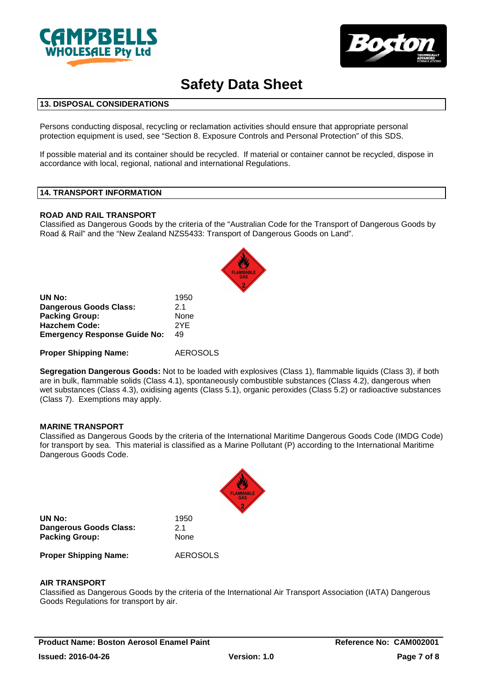



# **13. DISPOSAL CONSIDERATIONS**

Persons conducting disposal, recycling or reclamation activities should ensure that appropriate personal protection equipment is used, see "Section 8. Exposure Controls and Personal Protection" of this SDS.

If possible material and its container should be recycled. If material or container cannot be recycled, dispose in accordance with local, regional, national and international Regulations.

#### **14. TRANSPORT INFORMATION**

#### **ROAD AND RAIL TRANSPORT**

Classified as Dangerous Goods by the criteria of the "Australian Code for the Transport of Dangerous Goods by Road & Rail" and the "New Zealand NZS5433: Transport of Dangerous Goods on Land".

| UN No:                              | 1950 |
|-------------------------------------|------|
| Dangerous Goods Class:              | 21   |
| <b>Packing Group:</b>               | None |
| <b>Hazchem Code:</b>                | 2YF  |
| <b>Emergency Response Guide No:</b> | 49   |

#### **Proper Shipping Name:** AEROSOLS

**Segregation Dangerous Goods:** Not to be loaded with explosives (Class 1), flammable liquids (Class 3), if both are in bulk, flammable solids (Class 4.1), spontaneously combustible substances (Class 4.2), dangerous when wet substances (Class 4.3), oxidising agents (Class 5.1), organic peroxides (Class 5.2) or radioactive substances (Class 7). Exemptions may apply.

#### **MARINE TRANSPORT**

Classified as Dangerous Goods by the criteria of the International Maritime Dangerous Goods Code (IMDG Code) for transport by sea. This material is classified as a Marine Pollutant (P) according to the International Maritime Dangerous Goods Code.



**UN No:** 1950 **Dangerous Goods Class:** 2.1 **Packing Group:** None

**Proper Shipping Name:** AEROSOLS

# **AIR TRANSPORT**

Classified as Dangerous Goods by the criteria of the International Air Transport Association (IATA) Dangerous Goods Regulations for transport by air.